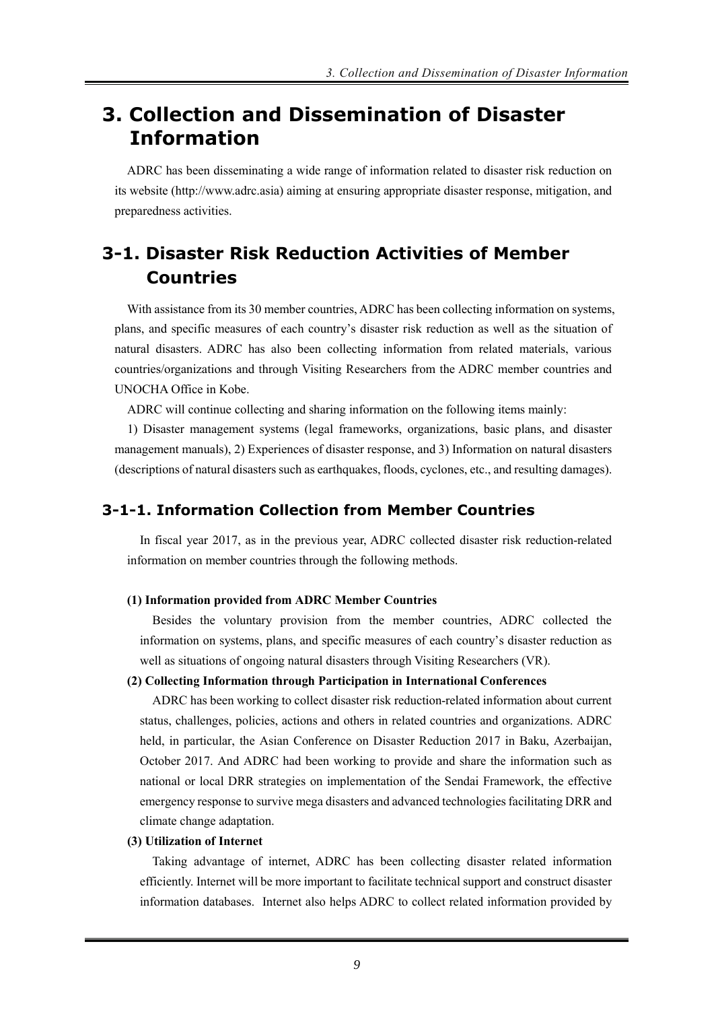# **3. Collection and Dissemination of Disaster Information**

ADRC has been disseminating a wide range of information related to disaster risk reduction on its website (http://www.adrc.asia) aiming at ensuring appropriate disaster response, mitigation, and preparedness activities.

# **3-1. Disaster Risk Reduction Activities of Member Countries**

With assistance from its 30 member countries, ADRC has been collecting information on systems, plans, and specific measures of each country's disaster risk reduction as well as the situation of natural disasters. ADRC has also been collecting information from related materials, various countries/organizations and through Visiting Researchers from the ADRC member countries and UNOCHA Office in Kobe.

ADRC will continue collecting and sharing information on the following items mainly:

1) Disaster management systems (legal frameworks, organizations, basic plans, and disaster management manuals), 2) Experiences of disaster response, and 3) Information on natural disasters (descriptions of natural disasters such as earthquakes, floods, cyclones, etc., and resulting damages).

## **3-1-1. Information Collection from Member Countries**

In fiscal year 2017, as in the previous year, ADRC collected disaster risk reduction-related information on member countries through the following methods.

#### **(1) Information provided from ADRC Member Countries**

Besides the voluntary provision from the member countries, ADRC collected the information on systems, plans, and specific measures of each country's disaster reduction as well as situations of ongoing natural disasters through Visiting Researchers (VR).

### **(2) Collecting Information through Participation in International Conferences**

ADRC has been working to collect disaster risk reduction-related information about current status, challenges, policies, actions and others in related countries and organizations. ADRC held, in particular, the Asian Conference on Disaster Reduction 2017 in Baku, Azerbaijan, October 2017. And ADRC had been working to provide and share the information such as national or local DRR strategies on implementation of the Sendai Framework, the effective emergency response to survive mega disasters and advanced technologies facilitating DRR and climate change adaptation.

#### **(3) Utilization of Internet**

Taking advantage of internet, ADRC has been collecting disaster related information efficiently. Internet will be more important to facilitate technical support and construct disaster information databases. Internet also helps ADRC to collect related information provided by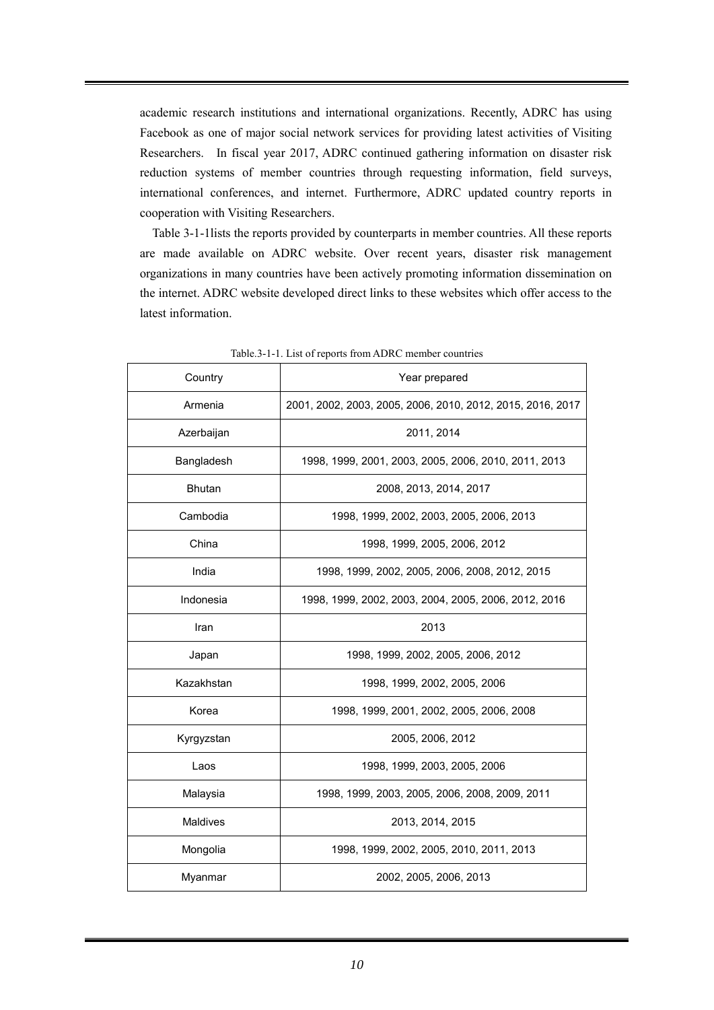academic research institutions and international organizations. Recently, ADRC has using Facebook as one of major social network services for providing latest activities of Visiting Researchers. In fiscal year 2017, ADRC continued gathering information on disaster risk reduction systems of member countries through requesting information, field surveys, international conferences, and internet. Furthermore, ADRC updated country reports in cooperation with Visiting Researchers.

Table 3-1-1lists the reports provided by counterparts in member countries. All these reports are made available on ADRC website. Over recent years, disaster risk management organizations in many countries have been actively promoting information dissemination on the internet. ADRC website developed direct links to these websites which offer access to the latest information.

| Country         | Year prepared                                              |  |  |  |  |  |
|-----------------|------------------------------------------------------------|--|--|--|--|--|
| Armenia         | 2001, 2002, 2003, 2005, 2006, 2010, 2012, 2015, 2016, 2017 |  |  |  |  |  |
| Azerbaijan      | 2011, 2014                                                 |  |  |  |  |  |
| Bangladesh      | 1998, 1999, 2001, 2003, 2005, 2006, 2010, 2011, 2013       |  |  |  |  |  |
| <b>Bhutan</b>   | 2008, 2013, 2014, 2017                                     |  |  |  |  |  |
| Cambodia        | 1998, 1999, 2002, 2003, 2005, 2006, 2013                   |  |  |  |  |  |
| China           | 1998, 1999, 2005, 2006, 2012                               |  |  |  |  |  |
| India           | 1998, 1999, 2002, 2005, 2006, 2008, 2012, 2015             |  |  |  |  |  |
| Indonesia       | 1998, 1999, 2002, 2003, 2004, 2005, 2006, 2012, 2016       |  |  |  |  |  |
| Iran            | 2013                                                       |  |  |  |  |  |
| Japan           | 1998, 1999, 2002, 2005, 2006, 2012                         |  |  |  |  |  |
| Kazakhstan      | 1998, 1999, 2002, 2005, 2006                               |  |  |  |  |  |
| Korea           | 1998, 1999, 2001, 2002, 2005, 2006, 2008                   |  |  |  |  |  |
| Kyrgyzstan      | 2005, 2006, 2012                                           |  |  |  |  |  |
| Laos            | 1998, 1999, 2003, 2005, 2006                               |  |  |  |  |  |
| Malaysia        | 1998, 1999, 2003, 2005, 2006, 2008, 2009, 2011             |  |  |  |  |  |
| <b>Maldives</b> | 2013, 2014, 2015                                           |  |  |  |  |  |
| Mongolia        | 1998, 1999, 2002, 2005, 2010, 2011, 2013                   |  |  |  |  |  |
| Myanmar         | 2002, 2005, 2006, 2013                                     |  |  |  |  |  |

Table.3-1-1. List of reports from ADRC member countries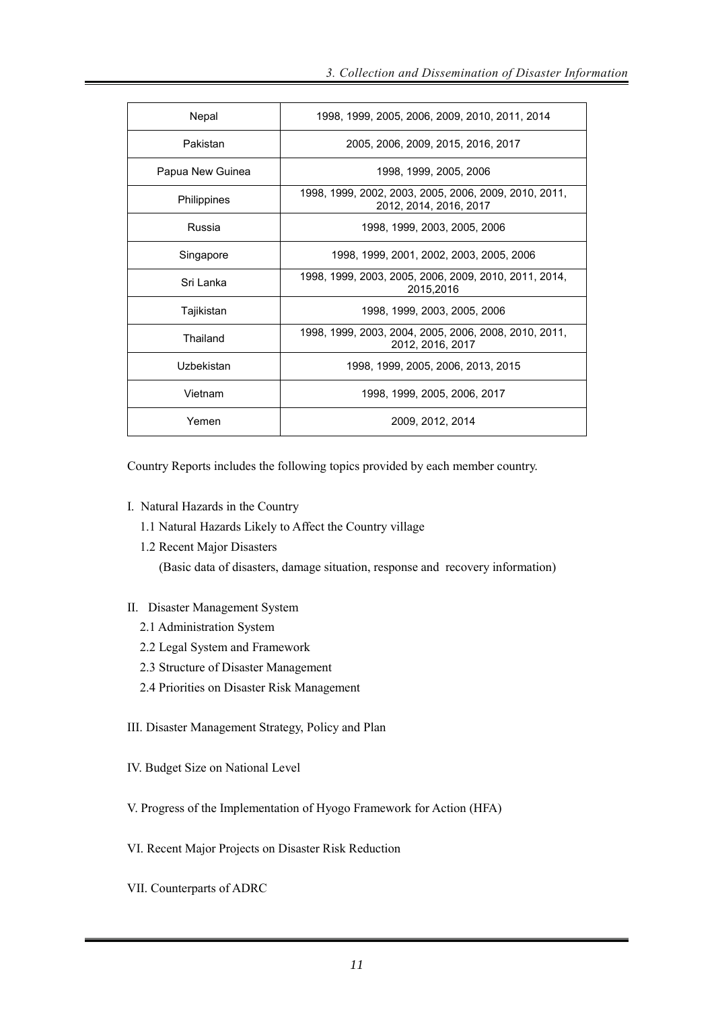| Nepal            | 1998, 1999, 2005, 2006, 2009, 2010, 2011, 2014                                  |  |  |  |  |
|------------------|---------------------------------------------------------------------------------|--|--|--|--|
| Pakistan         | 2005, 2006, 2009, 2015, 2016, 2017                                              |  |  |  |  |
| Papua New Guinea | 1998, 1999, 2005, 2006                                                          |  |  |  |  |
| Philippines      | 1998, 1999, 2002, 2003, 2005, 2006, 2009, 2010, 2011,<br>2012, 2014, 2016, 2017 |  |  |  |  |
| Russia           | 1998, 1999, 2003, 2005, 2006                                                    |  |  |  |  |
| Singapore        | 1998, 1999, 2001, 2002, 2003, 2005, 2006                                        |  |  |  |  |
| Sri Lanka        | 1998, 1999, 2003, 2005, 2006, 2009, 2010, 2011, 2014,<br>2015,2016              |  |  |  |  |
| Tajikistan       | 1998, 1999, 2003, 2005, 2006                                                    |  |  |  |  |
| Thailand         | 1998, 1999, 2003, 2004, 2005, 2006, 2008, 2010, 2011,<br>2012, 2016, 2017       |  |  |  |  |
| Uzbekistan       | 1998, 1999, 2005, 2006, 2013, 2015                                              |  |  |  |  |
| Vietnam          | 1998, 1999, 2005, 2006, 2017                                                    |  |  |  |  |
| Yemen            | 2009, 2012, 2014                                                                |  |  |  |  |

Country Reports includes the following topics provided by each member country.

- I. Natural Hazards in the Country
	- 1.1 Natural Hazards Likely to Affect the Country village
	- 1.2 Recent Major Disasters (Basic data of disasters, damage situation, response and recovery information)
- II. Disaster Management System
	- 2.1 Administration System
	- 2.2 Legal System and Framework
	- 2.3 Structure of Disaster Management
	- 2.4 Priorities on Disaster Risk Management
- III. Disaster Management Strategy, Policy and Plan
- IV. Budget Size on National Level
- V. Progress of the Implementation of Hyogo Framework for Action (HFA)
- VI. Recent Major Projects on Disaster Risk Reduction
- VII. Counterparts of ADRC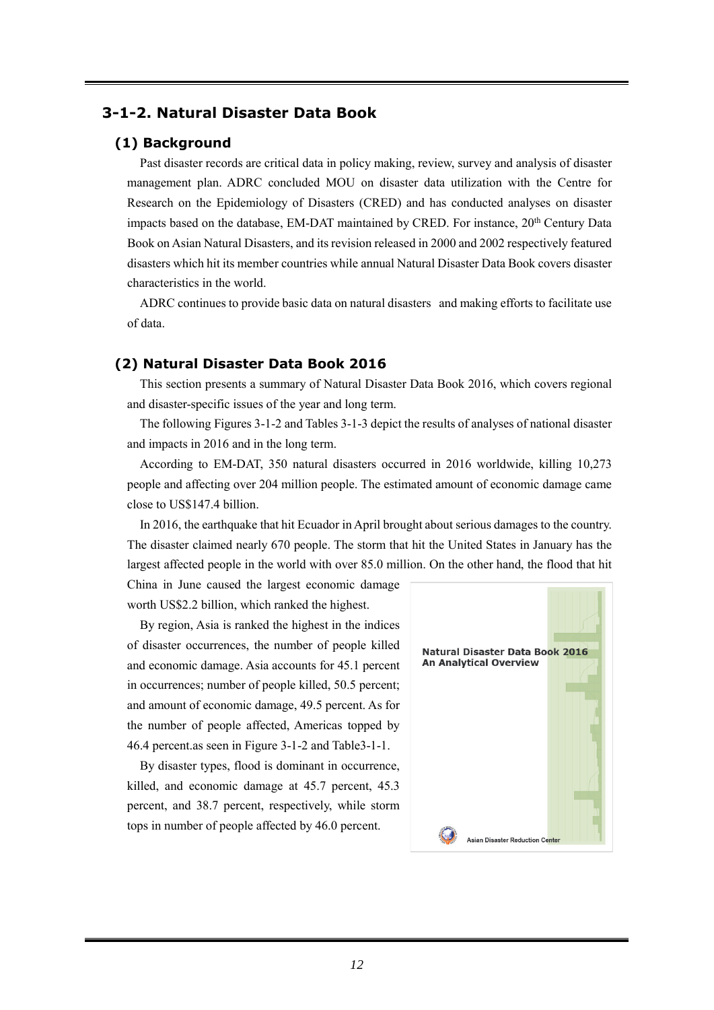# **3-1-2. Natural Disaster Data Book**

### **(1) Background**

Past disaster records are critical data in policy making, review, survey and analysis of disaster management plan. ADRC concluded MOU on disaster data utilization with the Centre for Research on the Epidemiology of Disasters (CRED) and has conducted analyses on disaster impacts based on the database, EM-DAT maintained by CRED. For instance, 20<sup>th</sup> Century Data Book on Asian Natural Disasters, and its revision released in 2000 and 2002 respectively featured disasters which hit its member countries while annual Natural Disaster Data Book covers disaster characteristics in the world.

ADRC continues to provide basic data on natural disasters and making efforts to facilitate use of data.

## **(2) Natural Disaster Data Book 2016**

This section presents a summary of Natural Disaster Data Book 2016, which covers regional and disaster-specific issues of the year and long term.

The following Figures 3-1-2 and Tables 3-1-3 depict the results of analyses of national disaster and impacts in 2016 and in the long term.

According to EM-DAT, 350 natural disasters occurred in 2016 worldwide, killing 10,273 people and affecting over 204 million people. The estimated amount of economic damage came close to US\$147.4 billion.

In 2016, the earthquake that hit Ecuador in April brought about serious damages to the country. The disaster claimed nearly 670 people. The storm that hit the United States in January has the largest affected people in the world with over 85.0 million. On the other hand, the flood that hit

China in June caused the largest economic damage worth US\$2.2 billion, which ranked the highest.

By region, Asia is ranked the highest in the indices of disaster occurrences, the number of people killed and economic damage. Asia accounts for 45.1 percent in occurrences; number of people killed, 50.5 percent; and amount of economic damage, 49.5 percent. As for the number of people affected, Americas topped by 46.4 percent.as seen in Figure 3-1-2 and Table3-1-1.

By disaster types, flood is dominant in occurrence, killed, and economic damage at 45.7 percent, 45.3 percent, and 38.7 percent, respectively, while storm tops in number of people affected by 46.0 percent.

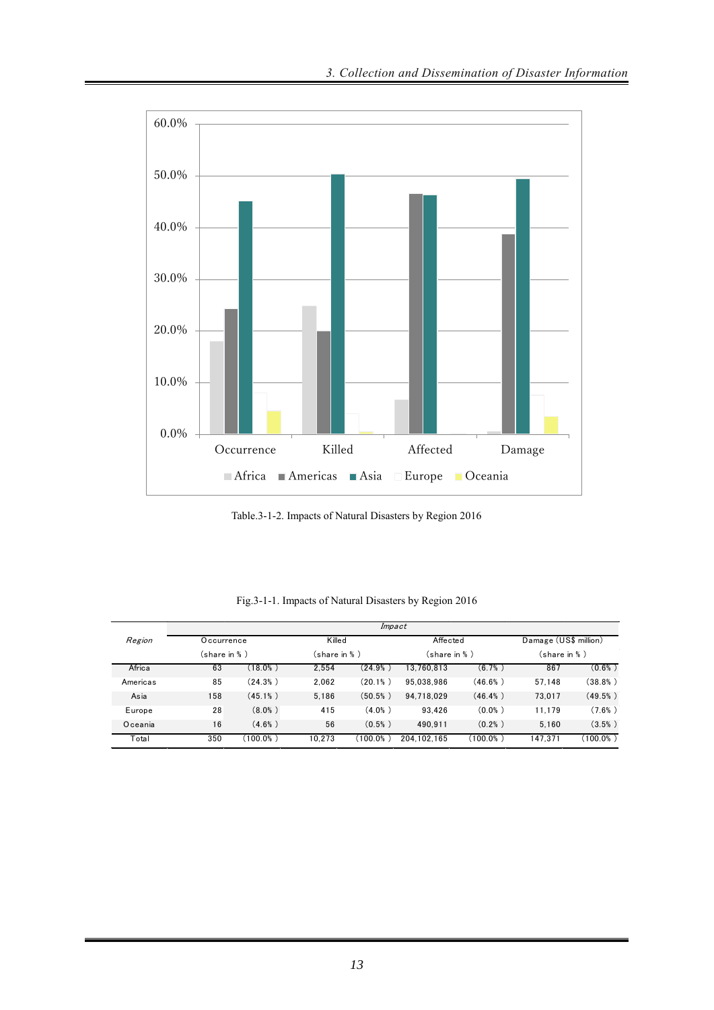

Table.3-1-2. Impacts of Natural Disasters by Region 2016

|          | Impact                      |            |        |                               |             |                           |         |                                        |  |
|----------|-----------------------------|------------|--------|-------------------------------|-------------|---------------------------|---------|----------------------------------------|--|
| Region   | Occurrence<br>(share in % ) |            |        | Killed<br>$(s)$ hare in $%$ ) |             | Affected<br>(share in % ) |         | Damage (US\$ million)<br>(share in % ) |  |
|          |                             |            |        |                               |             |                           |         |                                        |  |
| Africa   | 63                          | $(18.0\%)$ | 2.554  | $(24.9%$ )                    | 13.760.813  | (6.7%)                    | 867     | (0.6% )                                |  |
| Americas | 85                          | (24.3%)    | 2.062  | (20.1%                        | 95.038.986  | $(46.6\%)$                | 57.148  | $(38.8\%)$                             |  |
| Asia     | 158                         | $(45.1\%)$ | 5.186  | (50.5% )                      | 94.718.029  | (46.4% )                  | 73.017  | (49.5% )                               |  |
| Europe   | 28                          | $(8.0\%)$  | 415    | $(4.0\%)$                     | 93.426      | (0.0% )                   | 11.179  | (7.6% )                                |  |
| Oceania  | 16                          | $(4.6\%)$  | 56     | (0.5% )                       | 490.911     | (0.2% )                   | 5.160   | (3.5% )                                |  |
| Total    | 350                         | (100.0%)   | 10.273 | (100.0%)                      | 204.102.165 | (100.0%)                  | 147.371 | $(100.0\%)$                            |  |

Fig.3-1-1. Impacts of Natural Disasters by Region 2016